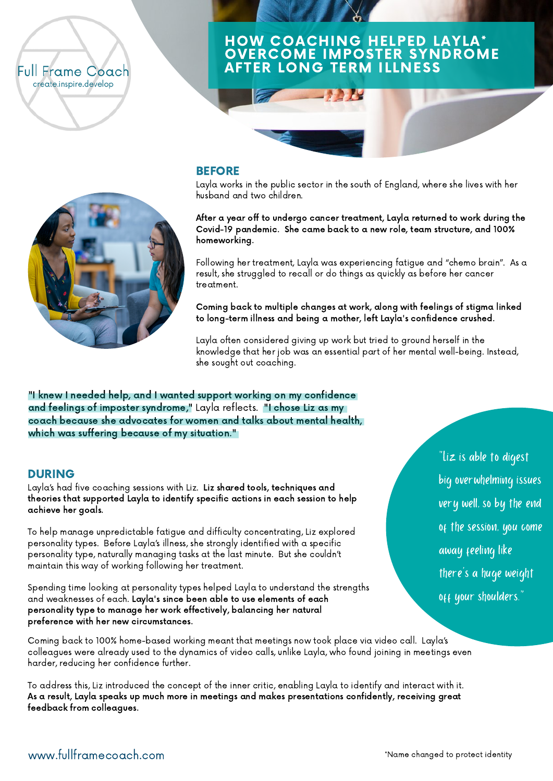## **Full Frame Coach** create.inspire.develop

# HOW COACHING HELPED LAYLA\* OVERCOME IMPOSTER SYNDROME AFTER LONG TERM ILLNESS



## **BEFORE**

Layla works in the public sector in the south of England, where she lives with her husband and two children.

After a year off to undergo cancer treatment, Layla returned to work during the Covid-19 pandemic. She came back to a new role, team structure, and 100% homeworking.

Following her treatment, Layla was experiencing fatigue and "chemo brain". As a result, she struggled to recall or do things as quickly as before her cancer treatment.

Coming back to multiple changes at work, along with feelings of stigma linked to long-term illness and being a mother, left Layla's confidence crushed.

Layla often considered giving up work but tried to ground herself in the knowledge that her job was an essential part of her mental well-being. Instead, she sought out coaching.

"I knew I needed help, and I wanted support working on my confidence and feelings of imposter syndrome," Layla reflects. "I chose Liz as my coach because she advocates for women and talks about mental health, which was suffering because of my situation."

#### DURING

Layla's had five coaching sessions with Liz. Liz shared tools, techniques and theories that supported Layla to identify specific actions in each session to help achieve her goals.

To help manage unpredictable fatigue and difficulty concentrating, Liz explored personality types. Before Layla's illness, she strongly identified with a specific personality type, naturally managing tasks at the last minute. But she couldn't maintain this way of working following her treatment.

Spending time looking at personality types helped Layla to understand the strengths and weaknesses of each. Layla's since been able to use elements of each personality type to manage her work effectively, balancing her natural preference with her new circumstances.

"Liz is able to digest big overwhelming issues very well, so by the end of the session, you come away feeling like there's a huge weight off your shoulders."

Coming back to 100% home-based working meant that meetings now took place via video call. Layla's colleagues were already used to the dynamics of video calls, unlike Layla, who found joining in meetings even harder, reducing her confidence further.

To address this, Liz introduced the concept of the inner critic, enabling Layla to identify and interact with it. As a result, Layla speaks up much more in meetings and makes presentations confidently, receiving great feedback from colleagues.